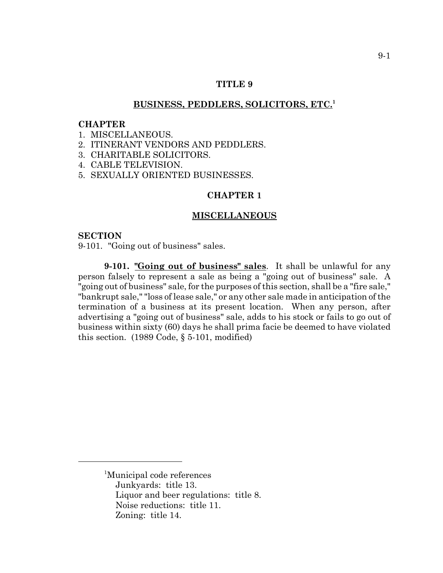## **TITLE 9**

## **BUSINESS, PEDDLERS, SOLICITORS, ETC.<sup>1</sup>**

#### **CHAPTER**

- 1. MISCELLANEOUS.
- 2. ITINERANT VENDORS AND PEDDLERS.
- 3. CHARITABLE SOLICITORS.
- 4. CABLE TELEVISION.
- 5. SEXUALLY ORIENTED BUSINESSES.

# **CHAPTER 1**

#### **MISCELLANEOUS**

#### **SECTION**

9-101. "Going out of business" sales.

**9-101. "Going out of business" sales**. It shall be unlawful for any person falsely to represent a sale as being a "going out of business" sale. A "going out of business" sale, for the purposes of this section, shall be a "fire sale," "bankrupt sale," "loss of lease sale," or any other sale made in anticipation of the termination of a business at its present location. When any person, after advertising a "going out of business" sale, adds to his stock or fails to go out of business within sixty (60) days he shall prima facie be deemed to have violated this section. (1989 Code, § 5-101, modified)

<sup>1</sup> Municipal code references Junkyards: title 13. Liquor and beer regulations: title 8. Noise reductions: title 11. Zoning: title 14.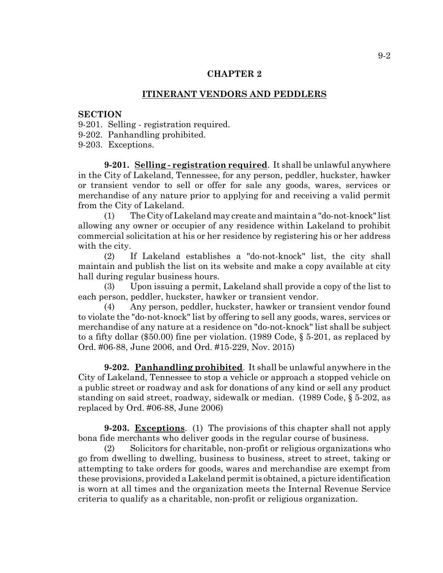#### **CHAPTER 2**

#### **ITINERANT VENDORS AND PEDDLERS**

## **SECTION**

9-201. Selling - registration required.

9-202. Panhandling prohibited.

9-203. Exceptions.

**9-201. Selling - registration required**. It shall be unlawful anywhere in the City of Lakeland, Tennessee, for any person, peddler, huckster, hawker or transient vendor to sell or offer for sale any goods, wares, services or merchandise of any nature prior to applying for and receiving a valid permit from the City of Lakeland.

(1) The City of Lakeland may create and maintain a "do-not-knock" list allowing any owner or occupier of any residence within Lakeland to prohibit commercial solicitation at his or her residence by registering his or her address with the city.

(2) If Lakeland establishes a "do-not-knock" list, the city shall maintain and publish the list on its website and make a copy available at city hall during regular business hours.

(3) Upon issuing a permit, Lakeland shall provide a copy of the list to each person, peddler, huckster, hawker or transient vendor.

(4) Any person, peddler, huckster, hawker or transient vendor found to violate the "do-not-knock" list by offering to sell any goods, wares, services or merchandise of any nature at a residence on "do-not-knock" list shall be subject to a fifty dollar (\$50.00) fine per violation. (1989 Code, § 5-201, as replaced by Ord. #06-88, June 2006, and Ord. #15-229, Nov. 2015)

**9-202. Panhandling prohibited**. It shall be unlawful anywhere in the City of Lakeland, Tennessee to stop a vehicle or approach a stopped vehicle on a public street or roadway and ask for donations of any kind or sell any product standing on said street, roadway, sidewalk or median. (1989 Code, § 5-202, as replaced by Ord. #06-88, June 2006)

**9-203. Exceptions**. (1) The provisions of this chapter shall not apply bona fide merchants who deliver goods in the regular course of business.

(2) Solicitors for charitable, non-profit or religious organizations who go from dwelling to dwelling, business to business, street to street, taking or attempting to take orders for goods, wares and merchandise are exempt from these provisions, provided a Lakeland permit is obtained, a picture identification is worn at all times and the organization meets the Internal Revenue Service criteria to qualify as a charitable, non-profit or religious organization.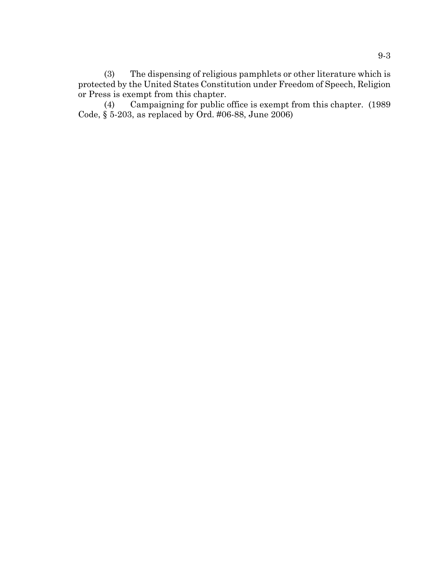(3) The dispensing of religious pamphlets or other literature which is protected by the United States Constitution under Freedom of Speech, Religion or Press is exempt from this chapter.<br>(4) Campaigning for public of

Campaigning for public office is exempt from this chapter. (1989) Code, § 5-203, as replaced by Ord. #06-88, June 2006)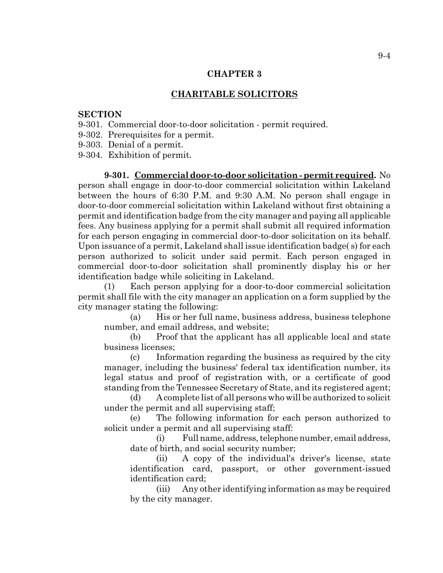## **CHAPTER 3**

# **CHARITABLE SOLICITORS**

### **SECTION**

- 9-301. Commercial door-to-door solicitation permit required.
- 9-302. Prerequisites for a permit.
- 9-303. Denial of a permit.

9-304. Exhibition of permit.

**9-301. Commercial door-to-door solicitation - permit required.** No person shall engage in door-to-door commercial solicitation within Lakeland between the hours of 6:30 P.M. and 9:30 A.M. No person shall engage in door-to-door commercial solicitation within Lakeland without first obtaining a permit and identification badge from the city manager and paying all applicable fees. Any business applying for a permit shall submit all required information for each person engaging in commercial door-to-door solicitation on its behalf. Upon issuance of a permit, Lakeland shall issue identification badge( s) for each person authorized to solicit under said permit. Each person engaged in commercial door-to-door solicitation shall prominently display his or her identification badge while soliciting in Lakeland.

(1) Each person applying for a door-to-door commercial solicitation permit shall file with the city manager an application on a form supplied by the city manager stating the following:

(a) His or her full name, business address, business telephone number, and email address, and website;

(b) Proof that the applicant has all applicable local and state business licenses;

(c) Information regarding the business as required by the city manager, including the business' federal tax identification number, its legal status and proof of registration with, or a certificate of good standing from the Tennessee Secretary of State, and its registered agent;

(d) A complete list of all persons who will be authorized to solicit under the permit and all supervising staff;

(e) The following information for each person authorized to solicit under a permit and all supervising staff:

(i) Full name, address, telephone number, email address, date of birth, and social security number;

(ii) A copy of the individual's driver's license, state identification card, passport, or other government-issued identification card;

(iii) Any other identifying information as may be required by the city manager.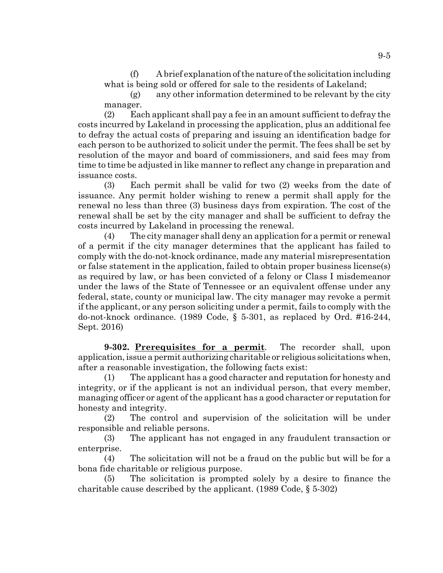(f) A brief explanation of the nature of the solicitation including what is being sold or offered for sale to the residents of Lakeland;

(g) any other information determined to be relevant by the city manager.

(2) Each applicant shall pay a fee in an amount sufficient to defray the costs incurred by Lakeland in processing the application, plus an additional fee to defray the actual costs of preparing and issuing an identification badge for each person to be authorized to solicit under the permit. The fees shall be set by resolution of the mayor and board of commissioners, and said fees may from time to time be adjusted in like manner to reflect any change in preparation and issuance costs.

(3) Each permit shall be valid for two (2) weeks from the date of issuance. Any permit holder wishing to renew a permit shall apply for the renewal no less than three (3) business days from expiration. The cost of the renewal shall be set by the city manager and shall be sufficient to defray the costs incurred by Lakeland in processing the renewal.

(4) The city manager shall deny an application for a permit or renewal of a permit if the city manager determines that the applicant has failed to comply with the do-not-knock ordinance, made any material misrepresentation or false statement in the application, failed to obtain proper business license(s) as required by law, or has been convicted of a felony or Class I misdemeanor under the laws of the State of Tennessee or an equivalent offense under any federal, state, county or municipal law. The city manager may revoke a permit if the applicant, or any person soliciting under a permit, fails to comply with the do-not-knock ordinance. (1989 Code, § 5-301, as replaced by Ord. #16-244, Sept. 2016)

**9-302. Prerequisites for a permit**. The recorder shall, upon application, issue a permit authorizing charitable or religious solicitations when, after a reasonable investigation, the following facts exist:

(1) The applicant has a good character and reputation for honesty and integrity, or if the applicant is not an individual person, that every member, managing officer or agent of the applicant has a good character or reputation for honesty and integrity.

(2) The control and supervision of the solicitation will be under responsible and reliable persons.

(3) The applicant has not engaged in any fraudulent transaction or enterprise.

(4) The solicitation will not be a fraud on the public but will be for a bona fide charitable or religious purpose.

(5) The solicitation is prompted solely by a desire to finance the charitable cause described by the applicant. (1989 Code, § 5-302)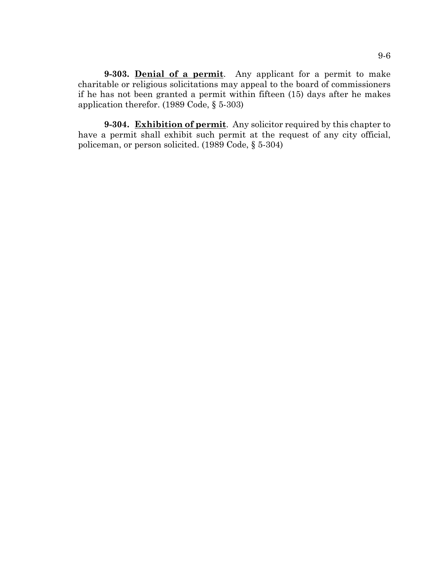**9-303. Denial of a permit**. Any applicant for a permit to make charitable or religious solicitations may appeal to the board of commissioners if he has not been granted a permit within fifteen (15) days after he makes application therefor. (1989 Code, § 5-303)

**9-304. Exhibition of permit**. Any solicitor required by this chapter to have a permit shall exhibit such permit at the request of any city official, policeman, or person solicited. (1989 Code, § 5-304)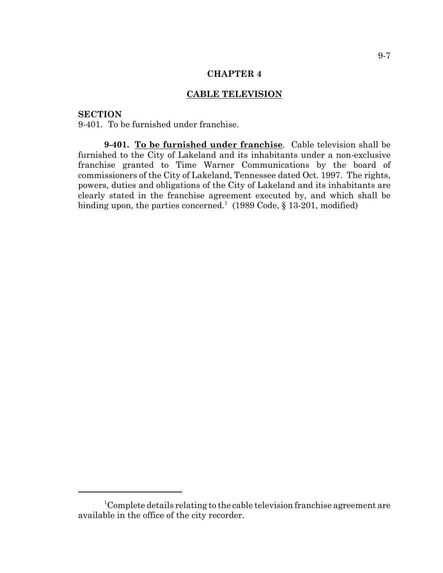#### **CHAPTER 4**

# **CABLE TELEVISION**

## **SECTION**

9-401. To be furnished under franchise.

**9-401. To be furnished under franchise**. Cable television shall be furnished to the City of Lakeland and its inhabitants under a non-exclusive franchise granted to Time Warner Communications by the board of commissioners of the City of Lakeland, Tennessee dated Oct. 1997. The rights, powers, duties and obligations of the City of Lakeland and its inhabitants are clearly stated in the franchise agreement executed by, and which shall be binding upon, the parties concerned.<sup>1</sup> (1989 Code,  $\S 13-201$ , modified)

<sup>&</sup>lt;sup>1</sup>Complete details relating to the cable television franchise agreement are available in the office of the city recorder.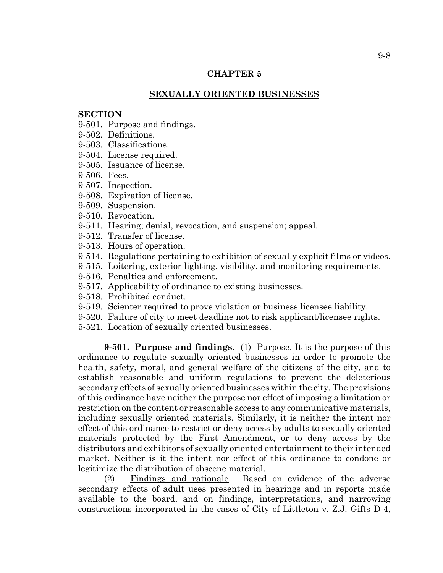## **CHAPTER 5**

# **SEXUALLY ORIENTED BUSINESSES**

#### **SECTION**

- 9-501. Purpose and findings.
- 9-502. Definitions.
- 9-503. Classifications.
- 9-504. License required.
- 9-505. Issuance of license.
- 9-506. Fees.
- 9-507. Inspection.
- 9-508. Expiration of license.
- 9-509. Suspension.
- 9-510. Revocation.
- 9-511. Hearing; denial, revocation, and suspension; appeal.
- 9-512. Transfer of license.
- 9-513. Hours of operation.
- 9-514. Regulations pertaining to exhibition of sexually explicit films or videos.
- 9-515. Loitering, exterior lighting, visibility, and monitoring requirements.
- 9-516. Penalties and enforcement.
- 9-517. Applicability of ordinance to existing businesses.
- 9-518. Prohibited conduct.
- 9-519. Scienter required to prove violation or business licensee liability.
- 9-520. Failure of city to meet deadline not to risk applicant/licensee rights.
- 5-521. Location of sexually oriented businesses.

**9-501. Purpose and findings.** (1) Purpose. It is the purpose of this ordinance to regulate sexually oriented businesses in order to promote the health, safety, moral, and general welfare of the citizens of the city, and to establish reasonable and uniform regulations to prevent the deleterious secondary effects of sexually oriented businesses within the city. The provisions of this ordinance have neither the purpose nor effect of imposing a limitation or restriction on the content or reasonable access to any communicative materials, including sexually oriented materials. Similarly, it is neither the intent nor effect of this ordinance to restrict or deny access by adults to sexually oriented materials protected by the First Amendment, or to deny access by the distributors and exhibitors of sexually oriented entertainment to their intended market. Neither is it the intent nor effect of this ordinance to condone or legitimize the distribution of obscene material.

(2) Findings and rationale. Based on evidence of the adverse secondary effects of adult uses presented in hearings and in reports made available to the board, and on findings, interpretations, and narrowing constructions incorporated in the cases of City of Littleton v. Z.J. Gifts D-4,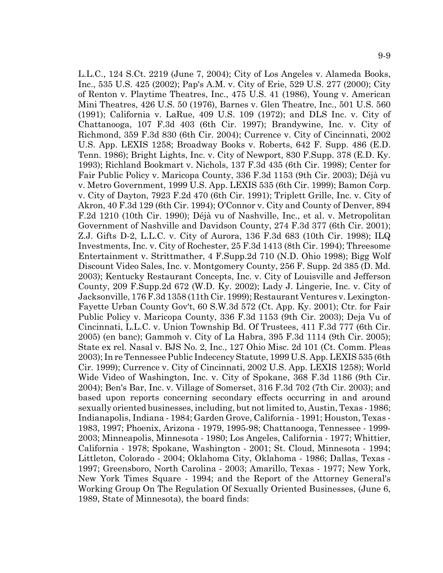L.L.C., 124 S.Ct. 2219 (June 7, 2004); City of Los Angeles v. Alameda Books, Inc., 535 U.S. 425 (2002); Pap's A.M. v. City of Erie, 529 U.S. 277 (2000); City of Renton v. Playtime Theatres, Inc., 475 U.S. 41 (1986), Young v. American Mini Theatres, 426 U.S. 50 (1976), Barnes v. Glen Theatre, Inc., 501 U.S. 560 (1991); California v. LaRue, 409 U.S. 109 (1972); and DLS Inc. v. City of Chattanooga, 107 F.3d 403 (6th Cir. 1997); Brandywine, Inc. v. City of Richmond, 359 F.3d 830 (6th Cir. 2004); Currence v. City of Cincinnati, 2002 U.S. App. LEXIS 1258; Broadway Books v. Roberts, 642 F. Supp. 486 (E.D. Tenn. 1986); Bright Lights, Inc. v. City of Newport, 830 F.Supp. 378 (E.D. Ky. 1993); Richland Bookmart v. Nichols, 137 F.3d 435 (6th Cir. 1998); Center for Fair Public Policy v. Maricopa County, 336 F.3d 1153 (9th Cir. 2003); Déjà vu v. Metro Government, 1999 U.S. App. LEXIS 535 (6th Cir. 1999); Bamon Corp. v. City of Dayton, 7923 F.2d 470 (6th Cir. 1991); Triplett Grille, Inc. v. City of Akron, 40 F.3d 129 (6th Cir. 1994); O'Connor v. City and County of Denver, 894 F.2d 1210 (10th Cir. 1990); Déjà vu of Nashville, Inc., et al. v. Metropolitan Government of Nashville and Davidson County, 274 F.3d 377 (6th Cir. 2001); Z.J. Gifts D-2, L.L.C. v. City of Aurora, 136 F.3d 683 (10th Cir. 1998); ILQ Investments, Inc. v. City of Rochester, 25 F.3d 1413 (8th Cir. 1994); Threesome Entertainment v. Strittmather, 4 F.Supp.2d 710 (N.D. Ohio 1998); Bigg Wolf Discount Video Sales, Inc. v. Montgomery County, 256 F. Supp. 2d 385 (D. Md. 2003); Kentucky Restaurant Concepts, Inc. v. City of Louisville and Jefferson County, 209 F.Supp.2d 672 (W.D. Ky. 2002); Lady J. Lingerie, Inc. v. City of Jacksonville, 176 F.3d 1358 (11th Cir. 1999); Restaurant Ventures v. Lexington-Fayette Urban County Gov't, 60 S.W.3d 572 (Ct. App. Ky. 2001); Ctr. for Fair Public Policy v. Maricopa County, 336 F.3d 1153 (9th Cir. 2003); Deja Vu of Cincinnati, L.L.C. v. Union Township Bd. Of Trustees, 411 F.3d 777 (6th Cir. 2005) (en banc); Gammoh v. City of La Habra, 395 F.3d 1114 (9th Cir. 2005); State ex rel. Nasal v. BJS No. 2, Inc., 127 Ohio Misc. 2d 101 (Ct. Comm. Pleas 2003); In re Tennessee Public Indecency Statute, 1999 U.S. App. LEXIS 535 (6th Cir. 1999); Currence v. City of Cincinnati, 2002 U.S. App. LEXIS 1258); World Wide Video of Washington, Inc. v. City of Spokane, 368 F.3d 1186 (9th Cir. 2004); Ben's Bar, Inc. v. Village of Somerset, 316 F.3d 702 (7th Cir. 2003); and based upon reports concerning secondary effects occurring in and around sexually oriented businesses, including, but not limited to, Austin, Texas - 1986; Indianapolis, Indiana - 1984; Garden Grove, California - 1991; Houston, Texas - 1983, 1997; Phoenix, Arizona - 1979, 1995-98; Chattanooga, Tennessee - 1999- 2003; Minneapolis, Minnesota - 1980; Los Angeles, California - 1977; Whittier, California - 1978; Spokane, Washington - 2001; St. Cloud, Minnesota - 1994; Littleton, Colorado - 2004; Oklahoma City, Oklahoma - 1986; Dallas, Texas - 1997; Greensboro, North Carolina - 2003; Amarillo, Texas - 1977; New York, New York Times Square - 1994; and the Report of the Attorney General's Working Group On The Regulation Of Sexually Oriented Businesses, (June 6, 1989, State of Minnesota), the board finds: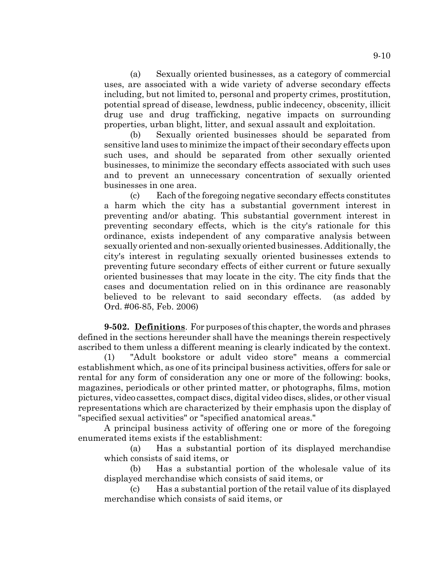(a) Sexually oriented businesses, as a category of commercial uses, are associated with a wide variety of adverse secondary effects including, but not limited to, personal and property crimes, prostitution, potential spread of disease, lewdness, public indecency, obscenity, illicit drug use and drug trafficking, negative impacts on surrounding properties, urban blight, litter, and sexual assault and exploitation.

(b) Sexually oriented businesses should be separated from sensitive land uses to minimize the impact of their secondary effects upon such uses, and should be separated from other sexually oriented businesses, to minimize the secondary effects associated with such uses and to prevent an unnecessary concentration of sexually oriented businesses in one area.

(c) Each of the foregoing negative secondary effects constitutes a harm which the city has a substantial government interest in preventing and/or abating. This substantial government interest in preventing secondary effects, which is the city's rationale for this ordinance, exists independent of any comparative analysis between sexually oriented and non-sexually oriented businesses. Additionally, the city's interest in regulating sexually oriented businesses extends to preventing future secondary effects of either current or future sexually oriented businesses that may locate in the city. The city finds that the cases and documentation relied on in this ordinance are reasonably believed to be relevant to said secondary effects. (as added by Ord. #06-85, Feb. 2006)

**9-502. Definitions**. For purposes of this chapter, the words and phrases defined in the sections hereunder shall have the meanings therein respectively ascribed to them unless a different meaning is clearly indicated by the context.

(1) "Adult bookstore or adult video store" means a commercial establishment which, as one of its principal business activities, offers for sale or rental for any form of consideration any one or more of the following: books, magazines, periodicals or other printed matter, or photographs, films, motion pictures, video cassettes, compact discs, digital video discs, slides, or other visual representations which are characterized by their emphasis upon the display of "specified sexual activities" or "specified anatomical areas."

A principal business activity of offering one or more of the foregoing enumerated items exists if the establishment:

(a) Has a substantial portion of its displayed merchandise which consists of said items, or

(b) Has a substantial portion of the wholesale value of its displayed merchandise which consists of said items, or

(c) Has a substantial portion of the retail value of its displayed merchandise which consists of said items, or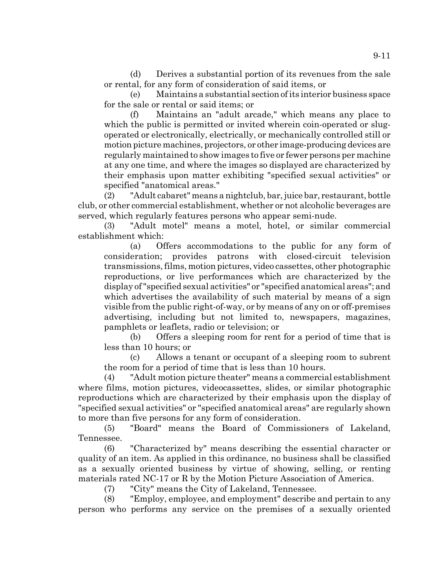(d) Derives a substantial portion of its revenues from the sale or rental, for any form of consideration of said items, or

(e) Maintains a substantial section of its interior business space for the sale or rental or said items; or

(f) Maintains an "adult arcade," which means any place to which the public is permitted or invited wherein coin-operated or slugoperated or electronically, electrically, or mechanically controlled still or motion picture machines, projectors, or other image-producing devices are regularly maintained to show images to five or fewer persons per machine at any one time, and where the images so displayed are characterized by their emphasis upon matter exhibiting "specified sexual activities" or specified "anatomical areas."

(2) "Adult cabaret" means a nightclub, bar, juice bar, restaurant, bottle club, or other commercial establishment, whether or not alcoholic beverages are served, which regularly features persons who appear semi-nude.

(3) "Adult motel" means a motel, hotel, or similar commercial establishment which:

(a) Offers accommodations to the public for any form of consideration; provides patrons with closed-circuit television transmissions, films, motion pictures, video cassettes, other photographic reproductions, or live performances which are characterized by the display of "specified sexual activities" or "specified anatomical areas"; and which advertises the availability of such material by means of a sign visible from the public right-of-way, or by means of any on or off-premises advertising, including but not limited to, newspapers, magazines, pamphlets or leaflets, radio or television; or

(b) Offers a sleeping room for rent for a period of time that is less than 10 hours; or

(c) Allows a tenant or occupant of a sleeping room to subrent the room for a period of time that is less than 10 hours.

(4) "Adult motion picture theater" means a commercial establishment where films, motion pictures, videocassettes, slides, or similar photographic reproductions which are characterized by their emphasis upon the display of "specified sexual activities" or "specified anatomical areas" are regularly shown to more than five persons for any form of consideration.

(5) "Board" means the Board of Commissioners of Lakeland, Tennessee.

(6) "Characterized by" means describing the essential character or quality of an item. As applied in this ordinance, no business shall be classified as a sexually oriented business by virtue of showing, selling, or renting materials rated NC-17 or R by the Motion Picture Association of America.

(7) "City" means the City of Lakeland, Tennessee.

(8) "Employ, employee, and employment" describe and pertain to any person who performs any service on the premises of a sexually oriented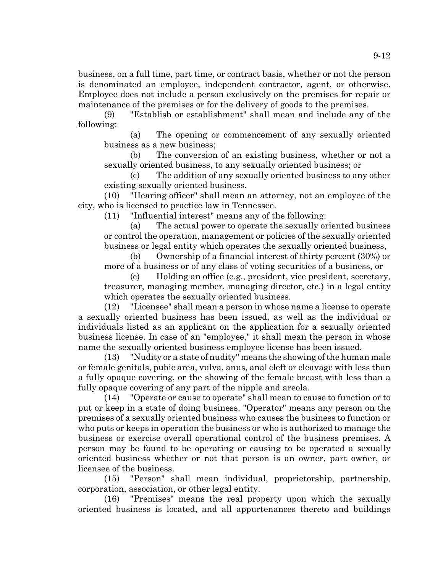business, on a full time, part time, or contract basis, whether or not the person is denominated an employee, independent contractor, agent, or otherwise. Employee does not include a person exclusively on the premises for repair or maintenance of the premises or for the delivery of goods to the premises.

(9) "Establish or establishment" shall mean and include any of the following:

(a) The opening or commencement of any sexually oriented business as a new business;

(b) The conversion of an existing business, whether or not a sexually oriented business, to any sexually oriented business; or

(c) The addition of any sexually oriented business to any other existing sexually oriented business.

(10) "Hearing officer" shall mean an attorney, not an employee of the city, who is licensed to practice law in Tennessee.

(11) "Influential interest" means any of the following:

(a) The actual power to operate the sexually oriented business or control the operation, management or policies of the sexually oriented business or legal entity which operates the sexually oriented business,

(b) Ownership of a financial interest of thirty percent (30%) or more of a business or of any class of voting securities of a business, or

(c) Holding an office (e.g., president, vice president, secretary, treasurer, managing member, managing director, etc.) in a legal entity which operates the sexually oriented business.

(12) "Licensee" shall mean a person in whose name a license to operate a sexually oriented business has been issued, as well as the individual or individuals listed as an applicant on the application for a sexually oriented business license. In case of an "employee," it shall mean the person in whose name the sexually oriented business employee license has been issued.

(13) "Nudity or a state of nudity" means the showing of the human male or female genitals, pubic area, vulva, anus, anal cleft or cleavage with less than a fully opaque covering, or the showing of the female breast with less than a fully opaque covering of any part of the nipple and areola.

(14) "Operate or cause to operate" shall mean to cause to function or to put or keep in a state of doing business. "Operator" means any person on the premises of a sexually oriented business who causes the business to function or who puts or keeps in operation the business or who is authorized to manage the business or exercise overall operational control of the business premises. A person may be found to be operating or causing to be operated a sexually oriented business whether or not that person is an owner, part owner, or licensee of the business.

(15) "Person" shall mean individual, proprietorship, partnership, corporation, association, or other legal entity.

(16) "Premises" means the real property upon which the sexually oriented business is located, and all appurtenances thereto and buildings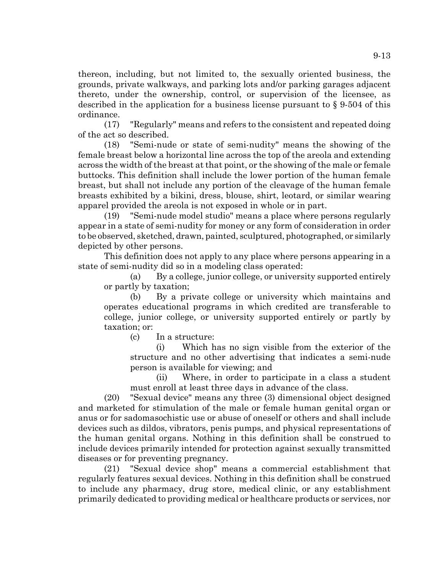thereon, including, but not limited to, the sexually oriented business, the grounds, private walkways, and parking lots and/or parking garages adjacent thereto, under the ownership, control, or supervision of the licensee, as described in the application for a business license pursuant to § 9-504 of this ordinance.

(17) "Regularly" means and refers to the consistent and repeated doing of the act so described.

(18) "Semi-nude or state of semi-nudity" means the showing of the female breast below a horizontal line across the top of the areola and extending across the width of the breast at that point, or the showing of the male or female buttocks. This definition shall include the lower portion of the human female breast, but shall not include any portion of the cleavage of the human female breasts exhibited by a bikini, dress, blouse, shirt, leotard, or similar wearing apparel provided the areola is not exposed in whole or in part.

(19) "Semi-nude model studio" means a place where persons regularly appear in a state of semi-nudity for money or any form of consideration in order to be observed, sketched, drawn, painted, sculptured, photographed, or similarly depicted by other persons.

This definition does not apply to any place where persons appearing in a state of semi-nudity did so in a modeling class operated:

(a) By a college, junior college, or university supported entirely or partly by taxation;

(b) By a private college or university which maintains and operates educational programs in which credited are transferable to college, junior college, or university supported entirely or partly by taxation; or:

(c) In a structure:

(i) Which has no sign visible from the exterior of the structure and no other advertising that indicates a semi-nude person is available for viewing; and

(ii) Where, in order to participate in a class a student must enroll at least three days in advance of the class.

(20) "Sexual device" means any three (3) dimensional object designed and marketed for stimulation of the male or female human genital organ or anus or for sadomasochistic use or abuse of oneself or others and shall include devices such as dildos, vibrators, penis pumps, and physical representations of the human genital organs. Nothing in this definition shall be construed to include devices primarily intended for protection against sexually transmitted diseases or for preventing pregnancy.

(21) "Sexual device shop" means a commercial establishment that regularly features sexual devices. Nothing in this definition shall be construed to include any pharmacy, drug store, medical clinic, or any establishment primarily dedicated to providing medical or healthcare products or services, nor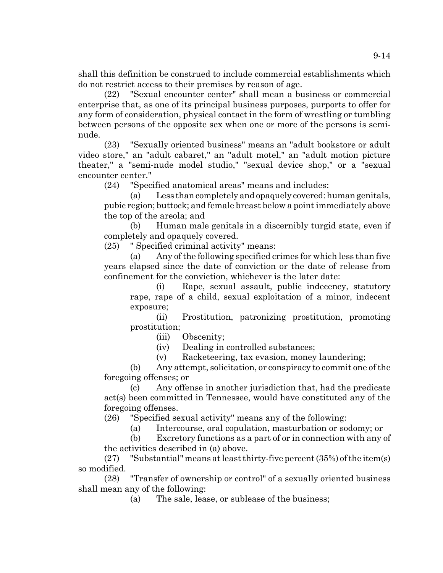shall this definition be construed to include commercial establishments which do not restrict access to their premises by reason of age.

(22) "Sexual encounter center" shall mean a business or commercial enterprise that, as one of its principal business purposes, purports to offer for any form of consideration, physical contact in the form of wrestling or tumbling between persons of the opposite sex when one or more of the persons is seminude.

(23) "Sexually oriented business" means an "adult bookstore or adult video store," an "adult cabaret," an "adult motel," an "adult motion picture theater," a "semi-nude model studio," "sexual device shop," or a "sexual encounter center."

(24) "Specified anatomical areas" means and includes:

(a) Less than completely and opaquely covered: human genitals, pubic region; buttock; and female breast below a point immediately above the top of the areola; and

(b) Human male genitals in a discernibly turgid state, even if completely and opaquely covered.

(25) " Specified criminal activity" means:

(a) Any of the following specified crimes for which less than five years elapsed since the date of conviction or the date of release from confinement for the conviction, whichever is the later date:

(i) Rape, sexual assault, public indecency, statutory rape, rape of a child, sexual exploitation of a minor, indecent exposure;

(ii) Prostitution, patronizing prostitution, promoting prostitution;

(iii) Obscenity;

(iv) Dealing in controlled substances;

(v) Racketeering, tax evasion, money laundering;

(b) Any attempt, solicitation, or conspiracy to commit one of the foregoing offenses; or

(c) Any offense in another jurisdiction that, had the predicate act(s) been committed in Tennessee, would have constituted any of the foregoing offenses.

(26) "Specified sexual activity" means any of the following:

(a) Intercourse, oral copulation, masturbation or sodomy; or

(b) Excretory functions as a part of or in connection with any of the activities described in (a) above.

(27) "Substantial" means at least thirty-five percent (35%) of the item(s) so modified.

(28) "Transfer of ownership or control" of a sexually oriented business shall mean any of the following:

(a) The sale, lease, or sublease of the business;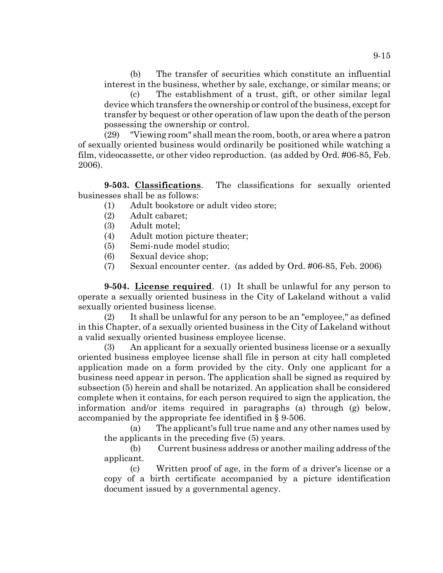(b) The transfer of securities which constitute an influential interest in the business, whether by sale, exchange, or similar means; or

(c) The establishment of a trust, gift, or other similar legal device which transfers the ownership or control of the business, except for transfer by bequest or other operation of law upon the death of the person possessing the ownership or control.

(29) "Viewing room" shall mean the room, booth, or area where a patron of sexually oriented business would ordinarily be positioned while watching a film, videocassette, or other video reproduction. (as added by Ord. #06-85, Feb. 2006).

**9-503. Classifications**. The classifications for sexually oriented businesses shall be as follows:

- (1) Adult bookstore or adult video store;
- (2) Adult cabaret;
- (3) Adult motel;
- (4) Adult motion picture theater;
- (5) Semi-nude model studio;
- (6) Sexual device shop;
- (7) Sexual encounter center. (as added by Ord. #06-85, Feb. 2006)

**9-504. License required**. (1) It shall be unlawful for any person to operate a sexually oriented business in the City of Lakeland without a valid sexually oriented business license.

(2) It shall be unlawful for any person to be an "employee," as defined in this Chapter, of a sexually oriented business in the City of Lakeland without a valid sexually oriented business employee license.

(3) An applicant for a sexually oriented business license or a sexually oriented business employee license shall file in person at city hall completed application made on a form provided by the city. Only one applicant for a business need appear in person. The application shall be signed as required by subsection (5) herein and shall be notarized. An application shall be considered complete when it contains, for each person required to sign the application, the information and/or items required in paragraphs (a) through (g) below, accompanied by the appropriate fee identified in § 9-506.

(a) The applicant's full true name and any other names used by the applicants in the preceding five (5) years.

(b) Current business address or another mailing address of the applicant.

(c) Written proof of age, in the form of a driver's license or a copy of a birth certificate accompanied by a picture identification document issued by a governmental agency.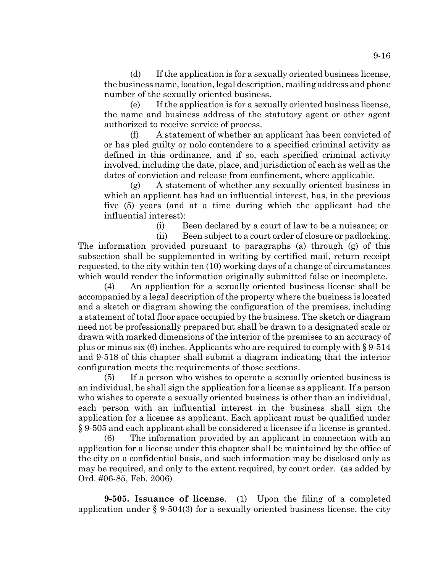(d) If the application is for a sexually oriented business license, the business name, location, legal description, mailing address and phone number of the sexually oriented business.

(e) If the application is for a sexually oriented business license, the name and business address of the statutory agent or other agent authorized to receive service of process.

(f) A statement of whether an applicant has been convicted of or has pled guilty or nolo contendere to a specified criminal activity as defined in this ordinance, and if so, each specified criminal activity involved, including the date, place, and jurisdiction of each as well as the dates of conviction and release from confinement, where applicable.

(g) A statement of whether any sexually oriented business in which an applicant has had an influential interest, has, in the previous five (5) years (and at a time during which the applicant had the influential interest):

(i) Been declared by a court of law to be a nuisance; or

(ii) Been subject to a court order of closure or padlocking. The information provided pursuant to paragraphs (a) through (g) of this subsection shall be supplemented in writing by certified mail, return receipt requested, to the city within ten (10) working days of a change of circumstances which would render the information originally submitted false or incomplete.

(4) An application for a sexually oriented business license shall be accompanied by a legal description of the property where the business is located and a sketch or diagram showing the configuration of the premises, including a statement of total floor space occupied by the business. The sketch or diagram need not be professionally prepared but shall be drawn to a designated scale or drawn with marked dimensions of the interior of the premises to an accuracy of plus or minus six (6) inches. Applicants who are required to comply with § 9-514 and 9-518 of this chapter shall submit a diagram indicating that the interior configuration meets the requirements of those sections.

(5) If a person who wishes to operate a sexually oriented business is an individual, he shall sign the application for a license as applicant. If a person who wishes to operate a sexually oriented business is other than an individual, each person with an influential interest in the business shall sign the application for a license as applicant. Each applicant must be qualified under § 9-505 and each applicant shall be considered a licensee if a license is granted.

(6) The information provided by an applicant in connection with an application for a license under this chapter shall be maintained by the office of the city on a confidential basis, and such information may be disclosed only as may be required, and only to the extent required, by court order. (as added by Ord. #06-85, Feb. 2006)

**9-505. Issuance of license**. (1) Upon the filing of a completed application under  $\S 9-504(3)$  for a sexually oriented business license, the city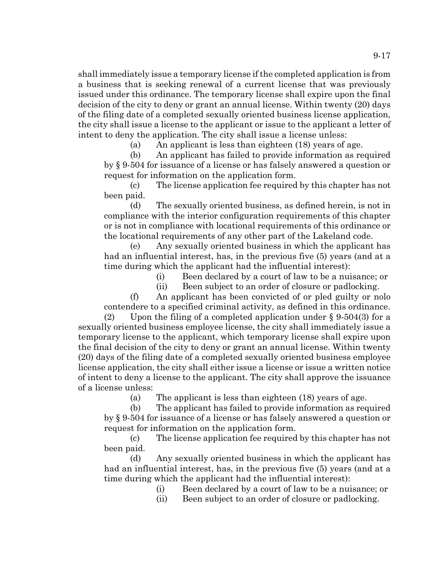shall immediately issue a temporary license if the completed application is from a business that is seeking renewal of a current license that was previously issued under this ordinance. The temporary license shall expire upon the final decision of the city to deny or grant an annual license. Within twenty (20) days of the filing date of a completed sexually oriented business license application, the city shall issue a license to the applicant or issue to the applicant a letter of intent to deny the application. The city shall issue a license unless:

(a) An applicant is less than eighteen (18) years of age.

(b) An applicant has failed to provide information as required by § 9-504 for issuance of a license or has falsely answered a question or request for information on the application form.

(c) The license application fee required by this chapter has not been paid.

(d) The sexually oriented business, as defined herein, is not in compliance with the interior configuration requirements of this chapter or is not in compliance with locational requirements of this ordinance or the locational requirements of any other part of the Lakeland code.

(e) Any sexually oriented business in which the applicant has had an influential interest, has, in the previous five (5) years (and at a time during which the applicant had the influential interest):

(i) Been declared by a court of law to be a nuisance; or

(ii) Been subject to an order of closure or padlocking.

(f) An applicant has been convicted of or pled guilty or nolo contendere to a specified criminal activity, as defined in this ordinance.

(2) Upon the filing of a completed application under  $\S 9.504(3)$  for a sexually oriented business employee license, the city shall immediately issue a temporary license to the applicant, which temporary license shall expire upon the final decision of the city to deny or grant an annual license. Within twenty (20) days of the filing date of a completed sexually oriented business employee license application, the city shall either issue a license or issue a written notice of intent to deny a license to the applicant. The city shall approve the issuance of a license unless:

(a) The applicant is less than eighteen (18) years of age.

(b) The applicant has failed to provide information as required by § 9-504 for issuance of a license or has falsely answered a question or request for information on the application form.

(c) The license application fee required by this chapter has not been paid.

(d) Any sexually oriented business in which the applicant has had an influential interest, has, in the previous five (5) years (and at a time during which the applicant had the influential interest):

- (i) Been declared by a court of law to be a nuisance; or
- (ii) Been subject to an order of closure or padlocking.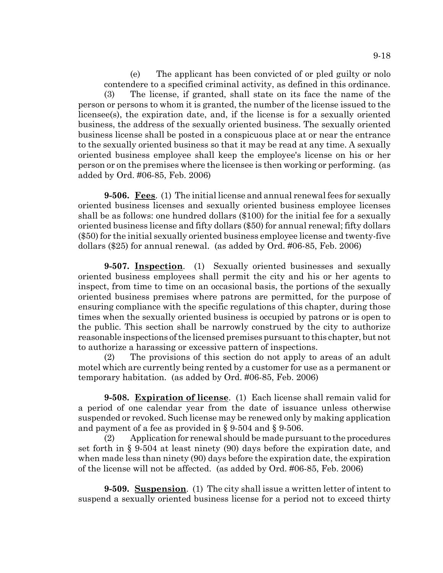(e) The applicant has been convicted of or pled guilty or nolo contendere to a specified criminal activity, as defined in this ordinance. (3) The license, if granted, shall state on its face the name of the person or persons to whom it is granted, the number of the license issued to the licensee(s), the expiration date, and, if the license is for a sexually oriented business, the address of the sexually oriented business. The sexually oriented business license shall be posted in a conspicuous place at or near the entrance to the sexually oriented business so that it may be read at any time. A sexually oriented business employee shall keep the employee's license on his or her person or on the premises where the licensee is then working or performing. (as added by Ord. #06-85, Feb. 2006)

**9-506. Fees**. (1) The initial license and annual renewal fees for sexually oriented business licenses and sexually oriented business employee licenses shall be as follows: one hundred dollars (\$100) for the initial fee for a sexually oriented business license and fifty dollars (\$50) for annual renewal; fifty dollars (\$50) for the initial sexually oriented business employee license and twenty-five dollars (\$25) for annual renewal. (as added by Ord. #06-85, Feb. 2006)

**9-507. Inspection**. (1) Sexually oriented businesses and sexually oriented business employees shall permit the city and his or her agents to inspect, from time to time on an occasional basis, the portions of the sexually oriented business premises where patrons are permitted, for the purpose of ensuring compliance with the specific regulations of this chapter, during those times when the sexually oriented business is occupied by patrons or is open to the public. This section shall be narrowly construed by the city to authorize reasonable inspections of the licensed premises pursuant to this chapter, but not to authorize a harassing or excessive pattern of inspections.

(2) The provisions of this section do not apply to areas of an adult motel which are currently being rented by a customer for use as a permanent or temporary habitation. (as added by Ord. #06-85, Feb. 2006)

**9-508. Expiration of license**. (1) Each license shall remain valid for a period of one calendar year from the date of issuance unless otherwise suspended or revoked. Such license may be renewed only by making application and payment of a fee as provided in § 9-504 and § 9-506.

(2) Application for renewal should be made pursuant to the procedures set forth in § 9-504 at least ninety (90) days before the expiration date, and when made less than ninety (90) days before the expiration date, the expiration of the license will not be affected. (as added by Ord. #06-85, Feb. 2006)

**9-509. Suspension**. (1) The city shall issue a written letter of intent to suspend a sexually oriented business license for a period not to exceed thirty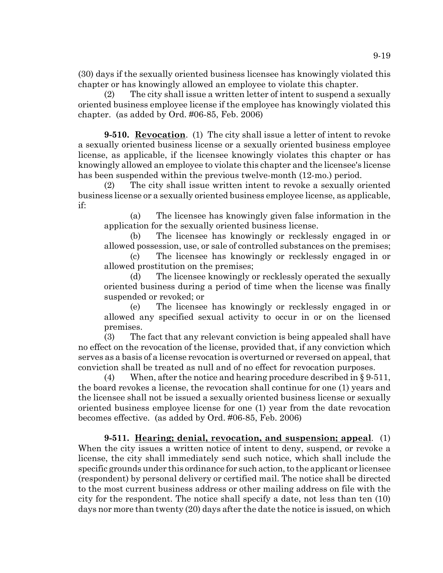(30) days if the sexually oriented business licensee has knowingly violated this chapter or has knowingly allowed an employee to violate this chapter.

(2) The city shall issue a written letter of intent to suspend a sexually oriented business employee license if the employee has knowingly violated this chapter. (as added by Ord. #06-85, Feb. 2006)

**9-510. Revocation**. (1) The city shall issue a letter of intent to revoke a sexually oriented business license or a sexually oriented business employee license, as applicable, if the licensee knowingly violates this chapter or has knowingly allowed an employee to violate this chapter and the licensee's license has been suspended within the previous twelve-month (12-mo.) period.

(2) The city shall issue written intent to revoke a sexually oriented business license or a sexually oriented business employee license, as applicable, if:

(a) The licensee has knowingly given false information in the application for the sexually oriented business license.

(b) The licensee has knowingly or recklessly engaged in or allowed possession, use, or sale of controlled substances on the premises;

(c) The licensee has knowingly or recklessly engaged in or allowed prostitution on the premises;

(d) The licensee knowingly or recklessly operated the sexually oriented business during a period of time when the license was finally suspended or revoked; or

(e) The licensee has knowingly or recklessly engaged in or allowed any specified sexual activity to occur in or on the licensed premises.

(3) The fact that any relevant conviction is being appealed shall have no effect on the revocation of the license, provided that, if any conviction which serves as a basis of a license revocation is overturned or reversed on appeal, that conviction shall be treated as null and of no effect for revocation purposes.

(4) When, after the notice and hearing procedure described in  $\S 9-511$ , the board revokes a license, the revocation shall continue for one (1) years and the licensee shall not be issued a sexually oriented business license or sexually oriented business employee license for one (1) year from the date revocation becomes effective. (as added by Ord. #06-85, Feb. 2006)

**9-511. Hearing; denial, revocation, and suspension; appeal**. (1) When the city issues a written notice of intent to deny, suspend, or revoke a license, the city shall immediately send such notice, which shall include the specific grounds under this ordinance for such action, to the applicant or licensee (respondent) by personal delivery or certified mail. The notice shall be directed to the most current business address or other mailing address on file with the city for the respondent. The notice shall specify a date, not less than ten (10) days nor more than twenty (20) days after the date the notice is issued, on which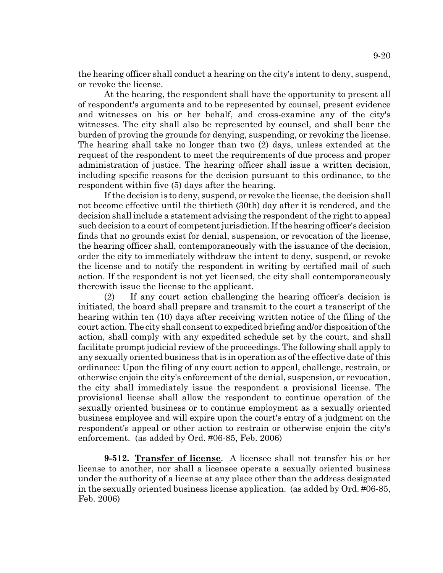the hearing officer shall conduct a hearing on the city's intent to deny, suspend, or revoke the license.

At the hearing, the respondent shall have the opportunity to present all of respondent's arguments and to be represented by counsel, present evidence and witnesses on his or her behalf, and cross-examine any of the city's witnesses. The city shall also be represented by counsel, and shall bear the burden of proving the grounds for denying, suspending, or revoking the license. The hearing shall take no longer than two (2) days, unless extended at the request of the respondent to meet the requirements of due process and proper administration of justice. The hearing officer shall issue a written decision, including specific reasons for the decision pursuant to this ordinance, to the respondent within five (5) days after the hearing.

If the decision is to deny, suspend, or revoke the license, the decision shall not become effective until the thirtieth (30th) day after it is rendered, and the decision shall include a statement advising the respondent of the right to appeal such decision to a court of competent jurisdiction. If the hearing officer's decision finds that no grounds exist for denial, suspension, or revocation of the license, the hearing officer shall, contemporaneously with the issuance of the decision, order the city to immediately withdraw the intent to deny, suspend, or revoke the license and to notify the respondent in writing by certified mail of such action. If the respondent is not yet licensed, the city shall contemporaneously therewith issue the license to the applicant.

(2) If any court action challenging the hearing officer's decision is initiated, the board shall prepare and transmit to the court a transcript of the hearing within ten (10) days after receiving written notice of the filing of the court action. The city shall consent to expedited briefing and/or disposition of the action, shall comply with any expedited schedule set by the court, and shall facilitate prompt judicial review of the proceedings. The following shall apply to any sexually oriented business that is in operation as of the effective date of this ordinance: Upon the filing of any court action to appeal, challenge, restrain, or otherwise enjoin the city's enforcement of the denial, suspension, or revocation, the city shall immediately issue the respondent a provisional license. The provisional license shall allow the respondent to continue operation of the sexually oriented business or to continue employment as a sexually oriented business employee and will expire upon the court's entry of a judgment on the respondent's appeal or other action to restrain or otherwise enjoin the city's enforcement. (as added by Ord. #06-85, Feb. 2006)

**9-512. Transfer of license**. A licensee shall not transfer his or her license to another, nor shall a licensee operate a sexually oriented business under the authority of a license at any place other than the address designated in the sexually oriented business license application. (as added by Ord. #06-85, Feb. 2006)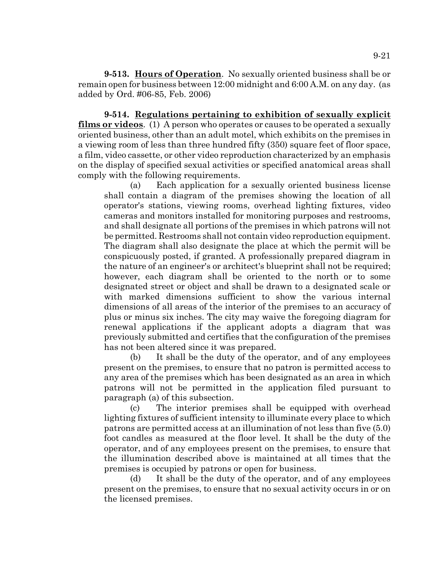**9-513. Hours of Operation**. No sexually oriented business shall be or remain open for business between 12:00 midnight and 6:00 A.M. on any day. (as added by Ord. #06-85, Feb. 2006)

**9-514. Regulations pertaining to exhibition of sexually explicit films or videos**. (1) A person who operates or causes to be operated a sexually oriented business, other than an adult motel, which exhibits on the premises in a viewing room of less than three hundred fifty (350) square feet of floor space, a film, video cassette, or other video reproduction characterized by an emphasis on the display of specified sexual activities or specified anatomical areas shall comply with the following requirements.

(a) Each application for a sexually oriented business license shall contain a diagram of the premises showing the location of all operator's stations, viewing rooms, overhead lighting fixtures, video cameras and monitors installed for monitoring purposes and restrooms, and shall designate all portions of the premises in which patrons will not be permitted. Restrooms shall not contain video reproduction equipment. The diagram shall also designate the place at which the permit will be conspicuously posted, if granted. A professionally prepared diagram in the nature of an engineer's or architect's blueprint shall not be required; however, each diagram shall be oriented to the north or to some designated street or object and shall be drawn to a designated scale or with marked dimensions sufficient to show the various internal dimensions of all areas of the interior of the premises to an accuracy of plus or minus six inches. The city may waive the foregoing diagram for renewal applications if the applicant adopts a diagram that was previously submitted and certifies that the configuration of the premises has not been altered since it was prepared.

(b) It shall be the duty of the operator, and of any employees present on the premises, to ensure that no patron is permitted access to any area of the premises which has been designated as an area in which patrons will not be permitted in the application filed pursuant to paragraph (a) of this subsection.

(c) The interior premises shall be equipped with overhead lighting fixtures of sufficient intensity to illuminate every place to which patrons are permitted access at an illumination of not less than five (5.0) foot candles as measured at the floor level. It shall be the duty of the operator, and of any employees present on the premises, to ensure that the illumination described above is maintained at all times that the premises is occupied by patrons or open for business.

(d) It shall be the duty of the operator, and of any employees present on the premises, to ensure that no sexual activity occurs in or on the licensed premises.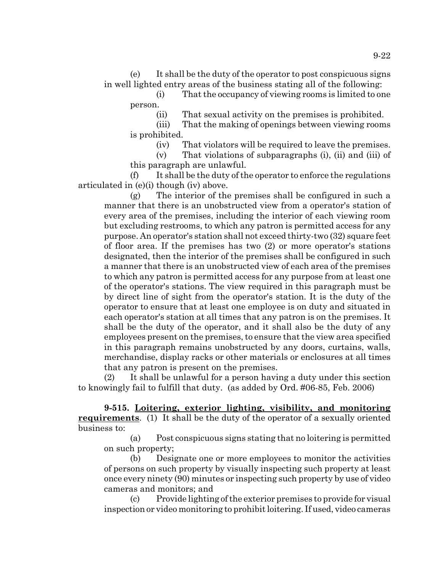(e) It shall be the duty of the operator to post conspicuous signs in well lighted entry areas of the business stating all of the following:

(i) That the occupancy of viewing rooms is limited to one person.

(ii) That sexual activity on the premises is prohibited.

(iii) That the making of openings between viewing rooms is prohibited.

(iv) That violators will be required to leave the premises.

(v) That violations of subparagraphs (i), (ii) and (iii) of this paragraph are unlawful.

(f) It shall be the duty of the operator to enforce the regulations articulated in (e)(i) though (iv) above.

(g) The interior of the premises shall be configured in such a manner that there is an unobstructed view from a operator's station of every area of the premises, including the interior of each viewing room but excluding restrooms, to which any patron is permitted access for any purpose. An operator's station shall not exceed thirty-two (32) square feet of floor area. If the premises has two (2) or more operator's stations designated, then the interior of the premises shall be configured in such a manner that there is an unobstructed view of each area of the premises to which any patron is permitted access for any purpose from at least one of the operator's stations. The view required in this paragraph must be by direct line of sight from the operator's station. It is the duty of the operator to ensure that at least one employee is on duty and situated in each operator's station at all times that any patron is on the premises. It shall be the duty of the operator, and it shall also be the duty of any employees present on the premises, to ensure that the view area specified in this paragraph remains unobstructed by any doors, curtains, walls, merchandise, display racks or other materials or enclosures at all times that any patron is present on the premises.

(2) It shall be unlawful for a person having a duty under this section to knowingly fail to fulfill that duty. (as added by Ord. #06-85, Feb. 2006)

**9-515. Loitering, exterior lighting, visibility, and monitoring requirements**. (1) It shall be the duty of the operator of a sexually oriented business to:

(a) Post conspicuous signs stating that no loitering is permitted on such property;

(b) Designate one or more employees to monitor the activities of persons on such property by visually inspecting such property at least once every ninety (90) minutes or inspecting such property by use of video cameras and monitors; and

(c) Provide lighting of the exterior premises to provide for visual inspection or video monitoring to prohibit loitering. If used, video cameras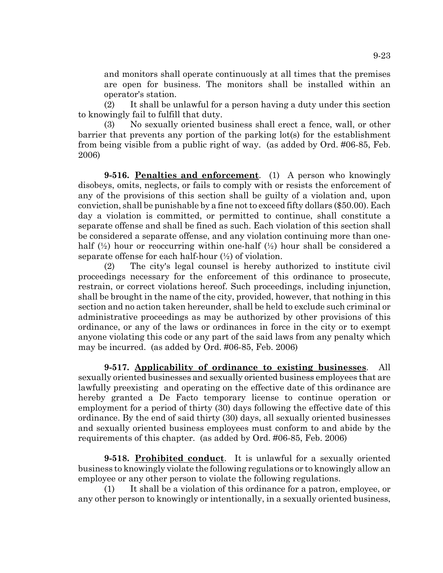and monitors shall operate continuously at all times that the premises are open for business. The monitors shall be installed within an operator's station.

(2) It shall be unlawful for a person having a duty under this section to knowingly fail to fulfill that duty.

(3) No sexually oriented business shall erect a fence, wall, or other barrier that prevents any portion of the parking lot(s) for the establishment from being visible from a public right of way. (as added by Ord. #06-85, Feb. 2006)

**9-516. Penalties and enforcement**. (1) A person who knowingly disobeys, omits, neglects, or fails to comply with or resists the enforcement of any of the provisions of this section shall be guilty of a violation and, upon conviction, shall be punishable by a fine not to exceed fifty dollars (\$50.00). Each day a violation is committed, or permitted to continue, shall constitute a separate offense and shall be fined as such. Each violation of this section shall be considered a separate offense, and any violation continuing more than onehalf  $(\frac{1}{2})$  hour or reoccurring within one-half  $(\frac{1}{2})$  hour shall be considered a separate offense for each half-hour  $(\frac{1}{2})$  of violation.

(2) The city's legal counsel is hereby authorized to institute civil proceedings necessary for the enforcement of this ordinance to prosecute, restrain, or correct violations hereof. Such proceedings, including injunction, shall be brought in the name of the city, provided, however, that nothing in this section and no action taken hereunder, shall be held to exclude such criminal or administrative proceedings as may be authorized by other provisions of this ordinance, or any of the laws or ordinances in force in the city or to exempt anyone violating this code or any part of the said laws from any penalty which may be incurred. (as added by Ord. #06-85, Feb. 2006)

**9-517. Applicability of ordinance to existing businesses**. All sexually oriented businesses and sexually oriented business employees that are lawfully preexisting and operating on the effective date of this ordinance are hereby granted a De Facto temporary license to continue operation or employment for a period of thirty (30) days following the effective date of this ordinance. By the end of said thirty (30) days, all sexually oriented businesses and sexually oriented business employees must conform to and abide by the requirements of this chapter. (as added by Ord. #06-85, Feb. 2006)

**9-518. Prohibited conduct**. It is unlawful for a sexually oriented business to knowingly violate the following regulations or to knowingly allow an employee or any other person to violate the following regulations.

(1) It shall be a violation of this ordinance for a patron, employee, or any other person to knowingly or intentionally, in a sexually oriented business,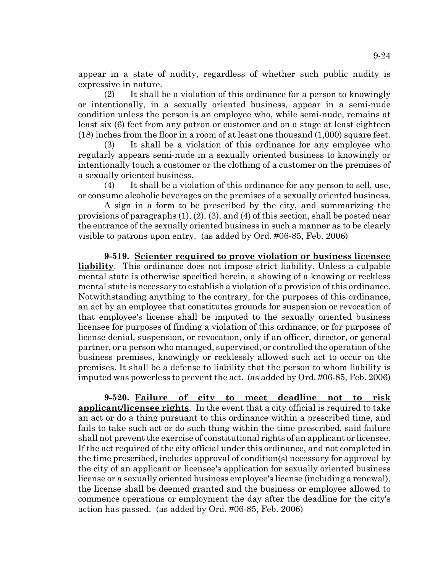appear in a state of nudity, regardless of whether such public nudity is expressive in nature.

(2) It shall be a violation of this ordinance for a person to knowingly or intentionally, in a sexually oriented business, appear in a semi-nude condition unless the person is an employee who, while semi-nude, remains at least six (6) feet from any patron or customer and on a stage at least eighteen (18) inches from the floor in a room of at least one thousand (1,000) square feet.

(3) It shall be a violation of this ordinance for any employee who regularly appears semi-nude in a sexually oriented business to knowingly or intentionally touch a customer or the clothing of a customer on the premises of a sexually oriented business.

(4) It shall be a violation of this ordinance for any person to sell, use, or consume alcoholic beverages on the premises of a sexually oriented business.

A sign in a form to be prescribed by the city, and summarizing the provisions of paragraphs (1), (2), (3), and (4) of this section, shall be posted near the entrance of the sexually oriented business in such a manner as to be clearly visible to patrons upon entry. (as added by Ord. #06-85, Feb. 2006)

**9-519. Scienter required to prove violation or business licensee liability**. This ordinance does not impose strict liability. Unless a culpable mental state is otherwise specified herein, a showing of a knowing or reckless mental state is necessary to establish a violation of a provision of this ordinance. Notwithstanding anything to the contrary, for the purposes of this ordinance, an act by an employee that constitutes grounds for suspension or revocation of that employee's license shall be imputed to the sexually oriented business licensee for purposes of finding a violation of this ordinance, or for purposes of license denial, suspension, or revocation, only if an officer, director, or general partner, or a person who managed, supervised, or controlled the operation of the business premises, knowingly or recklessly allowed such act to occur on the premises. It shall be a defense to liability that the person to whom liability is imputed was powerless to prevent the act. (as added by Ord. #06-85, Feb. 2006)

**9-520. Failure of city to meet deadline not to risk applicant/licensee rights**. In the event that a city official is required to take an act or do a thing pursuant to this ordinance within a prescribed time, and fails to take such act or do such thing within the time prescribed, said failure shall not prevent the exercise of constitutional rights of an applicant or licensee. If the act required of the city official under this ordinance, and not completed in the time prescribed, includes approval of condition(s) necessary for approval by the city of an applicant or licensee's application for sexually oriented business license or a sexually oriented business employee's license (including a renewal), the license shall be deemed granted and the business or employee allowed to commence operations or employment the day after the deadline for the city's action has passed. (as added by Ord. #06-85, Feb. 2006)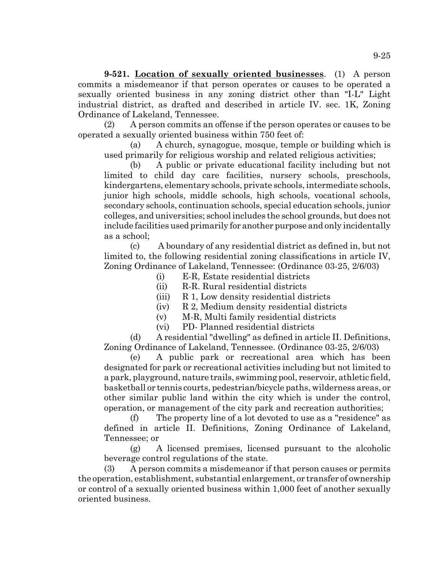**9-521. Location of sexually oriented businesses**. (1) A person commits a misdemeanor if that person operates or causes to be operated a sexually oriented business in any zoning district other than "I-L" Light industrial district, as drafted and described in article IV. sec. 1K, Zoning Ordinance of Lakeland, Tennessee.

(2) A person commits an offense if the person operates or causes to be operated a sexually oriented business within 750 feet of:

(a) A church, synagogue, mosque, temple or building which is used primarily for religious worship and related religious activities;

(b) A public or private educational facility including but not limited to child day care facilities, nursery schools, preschools, kindergartens, elementary schools, private schools, intermediate schools, junior high schools, middle schools, high schools, vocational schools, secondary schools, continuation schools, special education schools, junior colleges, and universities; school includes the school grounds, but does not include facilities used primarily for another purpose and only incidentally as a school;

(c) A boundary of any residential district as defined in, but not limited to, the following residential zoning classifications in article IV, Zoning Ordinance of Lakeland, Tennessee: (Ordinance 03-25, 2/6/03)

- (i) E-R, Estate residential districts
- (ii) R-R. Rural residential districts
- (iii) R 1, Low density residential districts
- (iv) R 2, Medium density residential districts
- (v) M-R, Multi family residential districts
- (vi) PD- Planned residential districts

(d) A residential "dwelling" as defined in article II. Definitions, Zoning Ordinance of Lakeland, Tennessee. (Ordinance 03-25, 2/6/03)

(e) A public park or recreational area which has been designated for park or recreational activities including but not limited to a park, playground, nature trails, swimming pool, reservoir, athletic field, basketball or tennis courts, pedestrian/bicycle paths, wilderness areas, or other similar public land within the city which is under the control, operation, or management of the city park and recreation authorities;

(f) The property line of a lot devoted to use as a "residence" as defined in article II. Definitions, Zoning Ordinance of Lakeland, Tennessee; or

(g) A licensed premises, licensed pursuant to the alcoholic beverage control regulations of the state.

(3) A person commits a misdemeanor if that person causes or permits the operation, establishment, substantial enlargement, or transfer of ownership or control of a sexually oriented business within 1,000 feet of another sexually oriented business.